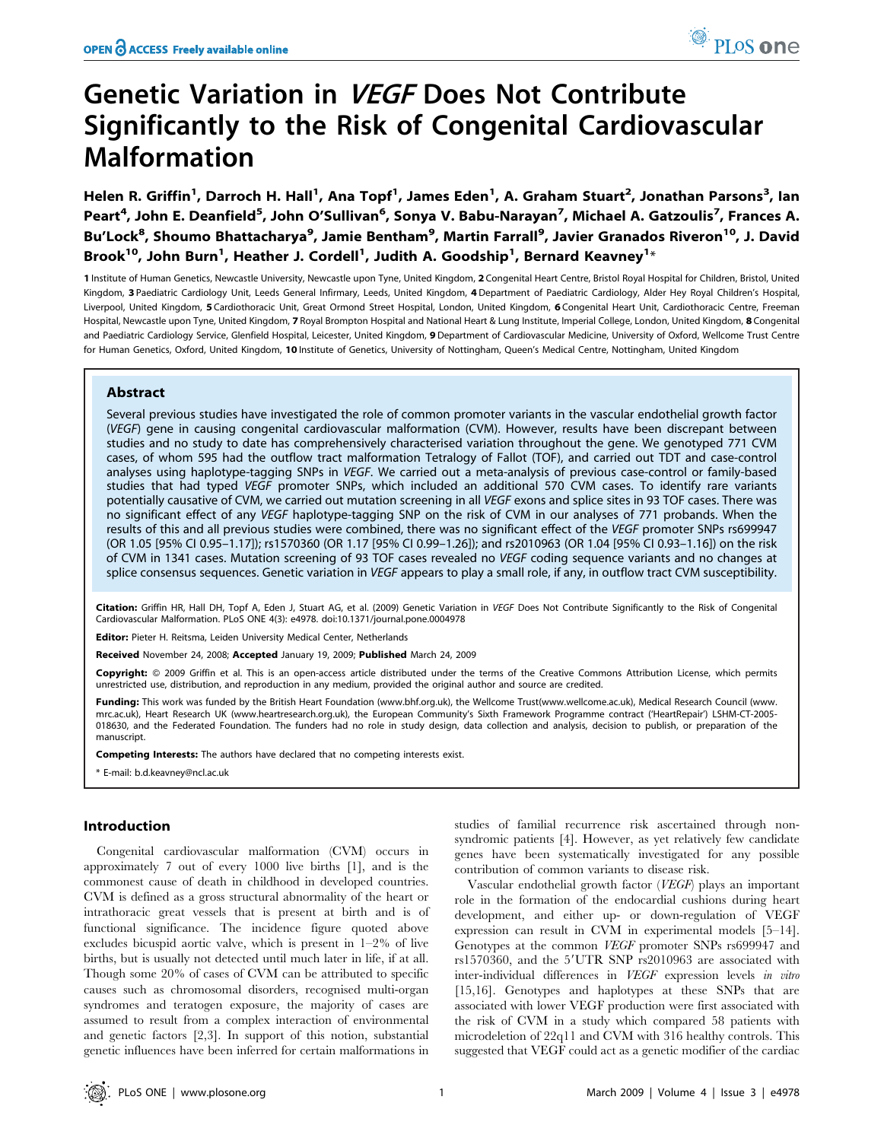# Genetic Variation in VEGF Does Not Contribute Significantly to the Risk of Congenital Cardiovascular Malformation

Helen R. Griffin<sup>1</sup>, Darroch H. Hall<sup>1</sup>, Ana Topf<sup>1</sup>, James Eden<sup>1</sup>, A. Graham Stuart<sup>2</sup>, Jonathan Parsons<sup>3</sup>, Ian Peart<sup>4</sup>, John E. Deanfield<sup>5</sup>, John O'Sullivan<sup>6</sup>, Sonya V. Babu-Narayan<sup>7</sup>, Michael A. Gatzoulis<sup>7</sup>, Frances A. Bu'Lock<sup>8</sup>, Shoumo Bhattacharya<sup>9</sup>, Jamie Bentham<sup>9</sup>, Martin Farrall<sup>9</sup>, Javier Granados Riveron<sup>10</sup>, J. David Brook $^{10}$ , John Burn<sup>1</sup>, Heather J. Cordell<sup>1</sup>, Judith A. Goodship<sup>1</sup>, Bernard Keavney<sup>1</sup>\*

1 Institute of Human Genetics, Newcastle University, Newcastle upon Tyne, United Kingdom, 2 Congenital Heart Centre, Bristol Royal Hospital for Children, Bristol, United Kingdom, 3 Paediatric Cardiology Unit, Leeds General Infirmary, Leeds, United Kingdom, 4 Department of Paediatric Cardiology, Alder Hey Royal Children's Hospital, Liverpool, United Kingdom, 5 Cardiothoracic Unit, Great Ormond Street Hospital, London, United Kingdom, 6 Congenital Heart Unit, Cardiothoracic Centre, Freeman Hospital, Newcastle upon Tyne, United Kingdom, 7 Royal Brompton Hospital and National Heart & Lung Institute, Imperial College, London, United Kingdom, 8 Congenital and Paediatric Cardiology Service, Glenfield Hospital, Leicester, United Kingdom, 9 Department of Cardiovascular Medicine, University of Oxford, Wellcome Trust Centre for Human Genetics, Oxford, United Kingdom, 10 Institute of Genetics, University of Nottingham, Queen's Medical Centre, Nottingham, United Kingdom

# Abstract

Several previous studies have investigated the role of common promoter variants in the vascular endothelial growth factor (VEGF) gene in causing congenital cardiovascular malformation (CVM). However, results have been discrepant between studies and no study to date has comprehensively characterised variation throughout the gene. We genotyped 771 CVM cases, of whom 595 had the outflow tract malformation Tetralogy of Fallot (TOF), and carried out TDT and case-control analyses using haplotype-tagging SNPs in VEGF. We carried out a meta-analysis of previous case-control or family-based studies that had typed VEGF promoter SNPs, which included an additional 570 CVM cases. To identify rare variants potentially causative of CVM, we carried out mutation screening in all VEGF exons and splice sites in 93 TOF cases. There was no significant effect of any VEGF haplotype-tagging SNP on the risk of CVM in our analyses of 771 probands. When the results of this and all previous studies were combined, there was no significant effect of the VEGF promoter SNPs rs699947 (OR 1.05 [95% CI 0.95–1.17]); rs1570360 (OR 1.17 [95% CI 0.99–1.26]); and rs2010963 (OR 1.04 [95% CI 0.93–1.16]) on the risk of CVM in 1341 cases. Mutation screening of 93 TOF cases revealed no VEGF coding sequence variants and no changes at splice consensus sequences. Genetic variation in VEGF appears to play a small role, if any, in outflow tract CVM susceptibility.

Citation: Griffin HR, Hall DH, Topf A, Eden J, Stuart AG, et al. (2009) Genetic Variation in VEGF Does Not Contribute Significantly to the Risk of Congenital Cardiovascular Malformation. PLoS ONE 4(3): e4978. doi:10.1371/journal.pone.0004978

Editor: Pieter H. Reitsma, Leiden University Medical Center, Netherlands

Received November 24, 2008; Accepted January 19, 2009; Published March 24, 2009

Copyright: © 2009 Griffin et al. This is an open-access article distributed under the terms of the Creative Commons Attribution License, which permits unrestricted use, distribution, and reproduction in any medium, provided the original author and source are credited.

Funding: This work was funded by the British Heart Foundation (www.bhf.org.uk), the Wellcome Trust(www.wellcome.ac.uk), Medical Research Council (www. mrc.ac.uk), Heart Research UK (www.heartresearch.org.uk), the European Community's Sixth Framework Programme contract ('HeartRepair') LSHM-CT-2005- 018630, and the Federated Foundation. The funders had no role in study design, data collection and analysis, decision to publish, or preparation of the manuscript.

Competing Interests: The authors have declared that no competing interests exist.

\* E-mail: b.d.keavney@ncl.ac.uk

# Introduction

Congenital cardiovascular malformation (CVM) occurs in approximately 7 out of every 1000 live births [1], and is the commonest cause of death in childhood in developed countries. CVM is defined as a gross structural abnormality of the heart or intrathoracic great vessels that is present at birth and is of functional significance. The incidence figure quoted above excludes bicuspid aortic valve, which is present in 1–2% of live births, but is usually not detected until much later in life, if at all. Though some 20% of cases of CVM can be attributed to specific causes such as chromosomal disorders, recognised multi-organ syndromes and teratogen exposure, the majority of cases are assumed to result from a complex interaction of environmental and genetic factors [2,3]. In support of this notion, substantial genetic influences have been inferred for certain malformations in

studies of familial recurrence risk ascertained through nonsyndromic patients [4]. However, as yet relatively few candidate genes have been systematically investigated for any possible contribution of common variants to disease risk.

Vascular endothelial growth factor (VEGF) plays an important role in the formation of the endocardial cushions during heart development, and either up- or down-regulation of VEGF expression can result in CVM in experimental models [5–14]. Genotypes at the common VEGF promoter SNPs rs699947 and rs1570360, and the 5'UTR SNP rs2010963 are associated with inter-individual differences in VEGF expression levels in vitro [15,16]. Genotypes and haplotypes at these SNPs that are associated with lower VEGF production were first associated with the risk of CVM in a study which compared 58 patients with microdeletion of 22q11 and CVM with 316 healthy controls. This suggested that VEGF could act as a genetic modifier of the cardiac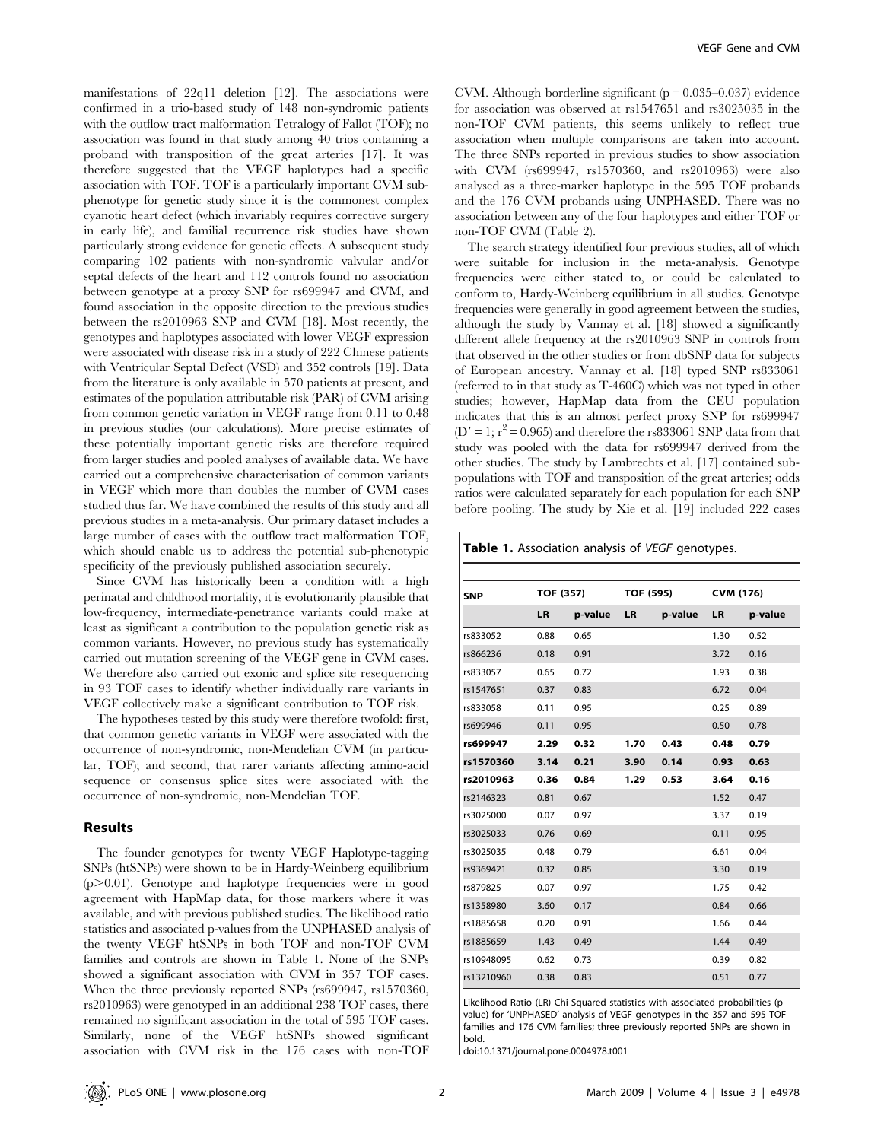manifestations of 22q11 deletion [12]. The associations were confirmed in a trio-based study of 148 non-syndromic patients with the outflow tract malformation Tetralogy of Fallot (TOF); no association was found in that study among 40 trios containing a proband with transposition of the great arteries [17]. It was therefore suggested that the VEGF haplotypes had a specific association with TOF. TOF is a particularly important CVM subphenotype for genetic study since it is the commonest complex cyanotic heart defect (which invariably requires corrective surgery in early life), and familial recurrence risk studies have shown particularly strong evidence for genetic effects. A subsequent study comparing 102 patients with non-syndromic valvular and/or septal defects of the heart and 112 controls found no association between genotype at a proxy SNP for rs699947 and CVM, and found association in the opposite direction to the previous studies between the rs2010963 SNP and CVM [18]. Most recently, the genotypes and haplotypes associated with lower VEGF expression were associated with disease risk in a study of 222 Chinese patients with Ventricular Septal Defect (VSD) and 352 controls [19]. Data from the literature is only available in 570 patients at present, and estimates of the population attributable risk (PAR) of CVM arising from common genetic variation in VEGF range from 0.11 to 0.48 in previous studies (our calculations). More precise estimates of these potentially important genetic risks are therefore required from larger studies and pooled analyses of available data. We have carried out a comprehensive characterisation of common variants in VEGF which more than doubles the number of CVM cases studied thus far. We have combined the results of this study and all previous studies in a meta-analysis. Our primary dataset includes a large number of cases with the outflow tract malformation TOF, which should enable us to address the potential sub-phenotypic specificity of the previously published association securely.

Since CVM has historically been a condition with a high perinatal and childhood mortality, it is evolutionarily plausible that low-frequency, intermediate-penetrance variants could make at least as significant a contribution to the population genetic risk as common variants. However, no previous study has systematically carried out mutation screening of the VEGF gene in CVM cases. We therefore also carried out exonic and splice site resequencing in 93 TOF cases to identify whether individually rare variants in VEGF collectively make a significant contribution to TOF risk.

The hypotheses tested by this study were therefore twofold: first, that common genetic variants in VEGF were associated with the occurrence of non-syndromic, non-Mendelian CVM (in particular, TOF); and second, that rarer variants affecting amino-acid sequence or consensus splice sites were associated with the occurrence of non-syndromic, non-Mendelian TOF.

#### Results

The founder genotypes for twenty VEGF Haplotype-tagging SNPs (htSNPs) were shown to be in Hardy-Weinberg equilibrium  $(p>0.01)$ . Genotype and haplotype frequencies were in good agreement with HapMap data, for those markers where it was available, and with previous published studies. The likelihood ratio statistics and associated p-values from the UNPHASED analysis of the twenty VEGF htSNPs in both TOF and non-TOF CVM families and controls are shown in Table 1. None of the SNPs showed a significant association with CVM in 357 TOF cases. When the three previously reported SNPs (rs699947, rs1570360, rs2010963) were genotyped in an additional 238 TOF cases, there remained no significant association in the total of 595 TOF cases. Similarly, none of the VEGF htSNPs showed significant association with CVM risk in the 176 cases with non-TOF

CVM. Although borderline significant ( $p = 0.035 - 0.037$ ) evidence for association was observed at rs1547651 and rs3025035 in the non-TOF CVM patients, this seems unlikely to reflect true association when multiple comparisons are taken into account. The three SNPs reported in previous studies to show association with CVM (rs699947, rs1570360, and rs2010963) were also analysed as a three-marker haplotype in the 595 TOF probands and the 176 CVM probands using UNPHASED. There was no association between any of the four haplotypes and either TOF or non-TOF CVM (Table 2).

The search strategy identified four previous studies, all of which were suitable for inclusion in the meta-analysis. Genotype frequencies were either stated to, or could be calculated to conform to, Hardy-Weinberg equilibrium in all studies. Genotype frequencies were generally in good agreement between the studies, although the study by Vannay et al. [18] showed a significantly different allele frequency at the rs2010963 SNP in controls from that observed in the other studies or from dbSNP data for subjects of European ancestry. Vannay et al. [18] typed SNP rs833061 (referred to in that study as T-460C) which was not typed in other studies; however, HapMap data from the CEU population indicates that this is an almost perfect proxy SNP for rs699947  $(D' = 1; r^2 = 0.965)$  and therefore the rs833061 SNP data from that study was pooled with the data for rs699947 derived from the other studies. The study by Lambrechts et al. [17] contained subpopulations with TOF and transposition of the great arteries; odds ratios were calculated separately for each population for each SNP before pooling. The study by Xie et al. [19] included 222 cases

Table 1. Association analysis of VEGF genotypes.

| <b>SNP</b> | <b>TOF (357)</b> |         | TOF (595) |         | CVM (176) |         |
|------------|------------------|---------|-----------|---------|-----------|---------|
|            | <b>LR</b>        | p-value | <b>LR</b> | p-value | <b>LR</b> | p-value |
| rs833052   | 0.88             | 0.65    |           |         | 1.30      | 0.52    |
| rs866236   | 0.18             | 0.91    |           |         | 3.72      | 0.16    |
| rs833057   | 0.65             | 0.72    |           |         | 1.93      | 0.38    |
| rs1547651  | 0.37             | 0.83    |           |         | 6.72      | 0.04    |
| rs833058   | 0.11             | 0.95    |           |         | 0.25      | 0.89    |
| rs699946   | 0.11             | 0.95    |           |         | 0.50      | 0.78    |
| rs699947   | 2.29             | 0.32    | 1.70      | 0.43    | 0.48      | 0.79    |
| rs1570360  | 3.14             | 0.21    | 3.90      | 0.14    | 0.93      | 0.63    |
| rs2010963  | 0.36             | 0.84    | 1.29      | 0.53    | 3.64      | 0.16    |
| rs2146323  | 0.81             | 0.67    |           |         | 1.52      | 0.47    |
| rs3025000  | 0.07             | 0.97    |           |         | 3.37      | 0.19    |
| rs3025033  | 0.76             | 0.69    |           |         | 0.11      | 0.95    |
| rs3025035  | 0.48             | 0.79    |           |         | 6.61      | 0.04    |
| rs9369421  | 0.32             | 0.85    |           |         | 3.30      | 0.19    |
| rs879825   | 0.07             | 0.97    |           |         | 1.75      | 0.42    |
| rs1358980  | 3.60             | 0.17    |           |         | 0.84      | 0.66    |
| rs1885658  | 0.20             | 0.91    |           |         | 1.66      | 0.44    |
| rs1885659  | 1.43             | 0.49    |           |         | 1.44      | 0.49    |
| rs10948095 | 0.62             | 0.73    |           |         | 0.39      | 0.82    |
| rs13210960 | 0.38             | 0.83    |           |         | 0.51      | 0.77    |

Likelihood Ratio (LR) Chi-Squared statistics with associated probabilities (pvalue) for 'UNPHASED' analysis of VEGF genotypes in the 357 and 595 TOF families and 176 CVM families; three previously reported SNPs are shown in bold.

doi:10.1371/journal.pone.0004978.t001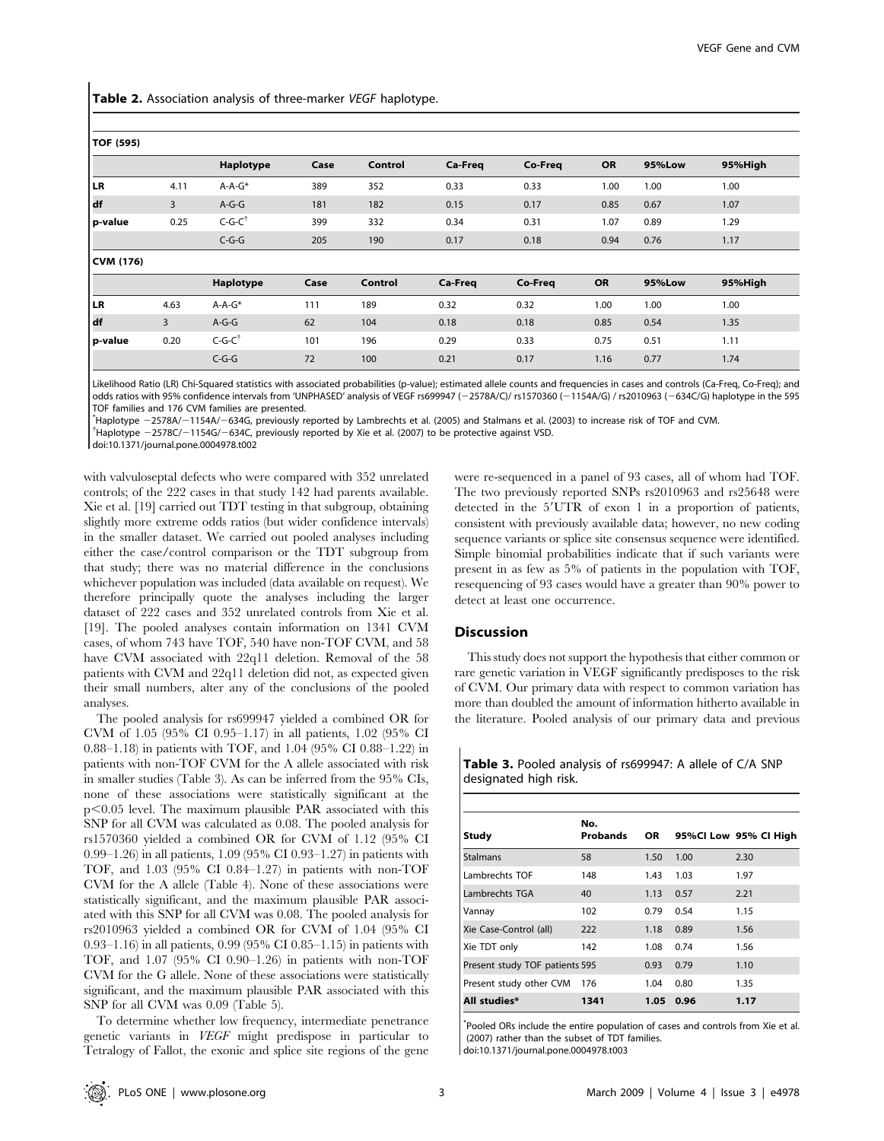Table 2. Association analysis of three-marker VEGF haplotype.

| TOF (595) |                |                   |      |         |         |         |           |        |         |
|-----------|----------------|-------------------|------|---------|---------|---------|-----------|--------|---------|
|           |                | Haplotype         | Case | Control | Ca-Freq | Co-Freq | <b>OR</b> | 95%Low | 95%High |
| LR        | 4.11           | $A-A-G*$          | 389  | 352     | 0.33    | 0.33    | 1.00      | 1.00   | 1.00    |
| df        | $\overline{3}$ | $A-G-G$           | 181  | 182     | 0.15    | 0.17    | 0.85      | 0.67   | 1.07    |
| p-value   | 0.25           | $C-G-C^{\dagger}$ | 399  | 332     | 0.34    | 0.31    | 1.07      | 0.89   | 1.29    |
|           |                | $C-G-G$           | 205  | 190     | 0.17    | 0.18    | 0.94      | 0.76   | 1.17    |
| CVM (176) |                |                   |      |         |         |         |           |        |         |
|           |                | Haplotype         | Case | Control | Ca-Freq | Co-Freq | OR        | 95%Low | 95%High |
| LR        | 4.63           | $A-A-G*$          | 111  | 189     | 0.32    | 0.32    | 1.00      | 1.00   | 1.00    |
| df        | $\overline{3}$ | $A-G-G$           | 62   | 104     | 0.18    | 0.18    | 0.85      | 0.54   | 1.35    |
| p-value   | 0.20           | $C-G-C^{\dagger}$ | 101  | 196     | 0.29    | 0.33    | 0.75      | 0.51   | 1.11    |
|           |                | $C-G-G$           | 72   | 100     | 0.21    | 0.17    | 1.16      | 0.77   | 1.74    |

Likelihood Ratio (LR) Chi-Squared statistics with associated probabilities (p-value); estimated allele counts and frequencies in cases and controls (Ca-Freq, Co-Freq); and odds ratios with 95% confidence intervals from 'UNPHASED' analysis of VEGF rs699947 (-2578A/C)/ rs1570360 (-1154A/G) / rs2010963 (-634C/G) haplotype in the 595 TOF families and 176 CVM families are presented.

\*Haplotype -2578A/-1154A/-634G, previously reported by Lambrechts et al. (2005) and Stalmans et al. (2003) to increase risk of TOF and CVM.<br><sup>†</sup>Haplotype -2578C/-1154G/-634C, previously reported by Yie et al. (2007) to be p

Haplotype -2578C/-1154G/-634C, previously reported by Xie et al. (2007) to be protective against VSD.

doi:10.1371/journal.pone.0004978.t002

with valvuloseptal defects who were compared with 352 unrelated controls; of the 222 cases in that study 142 had parents available. Xie et al. [19] carried out TDT testing in that subgroup, obtaining slightly more extreme odds ratios (but wider confidence intervals) in the smaller dataset. We carried out pooled analyses including either the case/control comparison or the TDT subgroup from that study; there was no material difference in the conclusions whichever population was included (data available on request). We therefore principally quote the analyses including the larger dataset of 222 cases and 352 unrelated controls from Xie et al. [19]. The pooled analyses contain information on 1341 CVM cases, of whom 743 have TOF, 540 have non-TOF CVM, and 58 have CVM associated with 22q11 deletion. Removal of the 58 patients with CVM and 22q11 deletion did not, as expected given their small numbers, alter any of the conclusions of the pooled analyses.

The pooled analysis for rs699947 yielded a combined OR for CVM of 1.05 (95% CI 0.95–1.17) in all patients, 1.02 (95% CI 0.88–1.18) in patients with TOF, and 1.04 (95% CI 0.88–1.22) in patients with non-TOF CVM for the A allele associated with risk in smaller studies (Table 3). As can be inferred from the 95% CIs, none of these associations were statistically significant at the  $p<0.05$  level. The maximum plausible PAR associated with this SNP for all CVM was calculated as 0.08. The pooled analysis for rs1570360 yielded a combined OR for CVM of 1.12 (95% CI 0.99–1.26) in all patients, 1.09 (95% CI 0.93–1.27) in patients with TOF, and 1.03 (95% CI 0.84–1.27) in patients with non-TOF CVM for the A allele (Table 4). None of these associations were statistically significant, and the maximum plausible PAR associated with this SNP for all CVM was 0.08. The pooled analysis for rs2010963 yielded a combined OR for CVM of 1.04 (95% CI 0.93–1.16) in all patients, 0.99 (95% CI 0.85–1.15) in patients with TOF, and 1.07 (95% CI 0.90–1.26) in patients with non-TOF CVM for the G allele. None of these associations were statistically significant, and the maximum plausible PAR associated with this SNP for all CVM was 0.09 (Table 5).

To determine whether low frequency, intermediate penetrance genetic variants in VEGF might predispose in particular to Tetralogy of Fallot, the exonic and splice site regions of the gene

were re-sequenced in a panel of 93 cases, all of whom had TOF. The two previously reported SNPs rs2010963 and rs25648 were detected in the  $5'UTR$  of exon 1 in a proportion of patients, consistent with previously available data; however, no new coding sequence variants or splice site consensus sequence were identified. Simple binomial probabilities indicate that if such variants were present in as few as 5% of patients in the population with TOF, resequencing of 93 cases would have a greater than 90% power to detect at least one occurrence.

# **Discussion**

 $\blacksquare$ 

This study does not support the hypothesis that either common or rare genetic variation in VEGF significantly predisposes to the risk of CVM. Our primary data with respect to common variation has more than doubled the amount of information hitherto available in the literature. Pooled analysis of our primary data and previous

| Table 3. Pooled analysis of rs699947: A allele of C/A SNP |
|-----------------------------------------------------------|
| designated high risk.                                     |

| <b>Study</b>                   | No.<br><b>Probands</b> | OR.  |      | 95%Cl Low 95% Cl High |
|--------------------------------|------------------------|------|------|-----------------------|
| <b>Stalmans</b>                | 58                     | 1.50 | 1.00 | 2.30                  |
| Lambrechts TOF                 | 148                    | 1.43 | 1.03 | 1.97                  |
| Lambrechts TGA                 | 40                     | 1.13 | 0.57 | 2.21                  |
| Vannay                         | 102                    | 0.79 | 0.54 | 1.15                  |
| Xie Case-Control (all)         | 222                    | 1.18 | 0.89 | 1.56                  |
| Xie TDT only                   | 142                    | 1.08 | 0.74 | 1.56                  |
| Present study TOF patients 595 |                        | 0.93 | 0.79 | 1.10                  |
| Present study other CVM        | 176                    | 1.04 | 0.80 | 1.35                  |
| All studies*                   | 1341                   | 1.05 | 0.96 | 1.17                  |

\* Pooled ORs include the entire population of cases and controls from Xie et al. (2007) rather than the subset of TDT families.

doi:10.1371/journal.pone.0004978.t003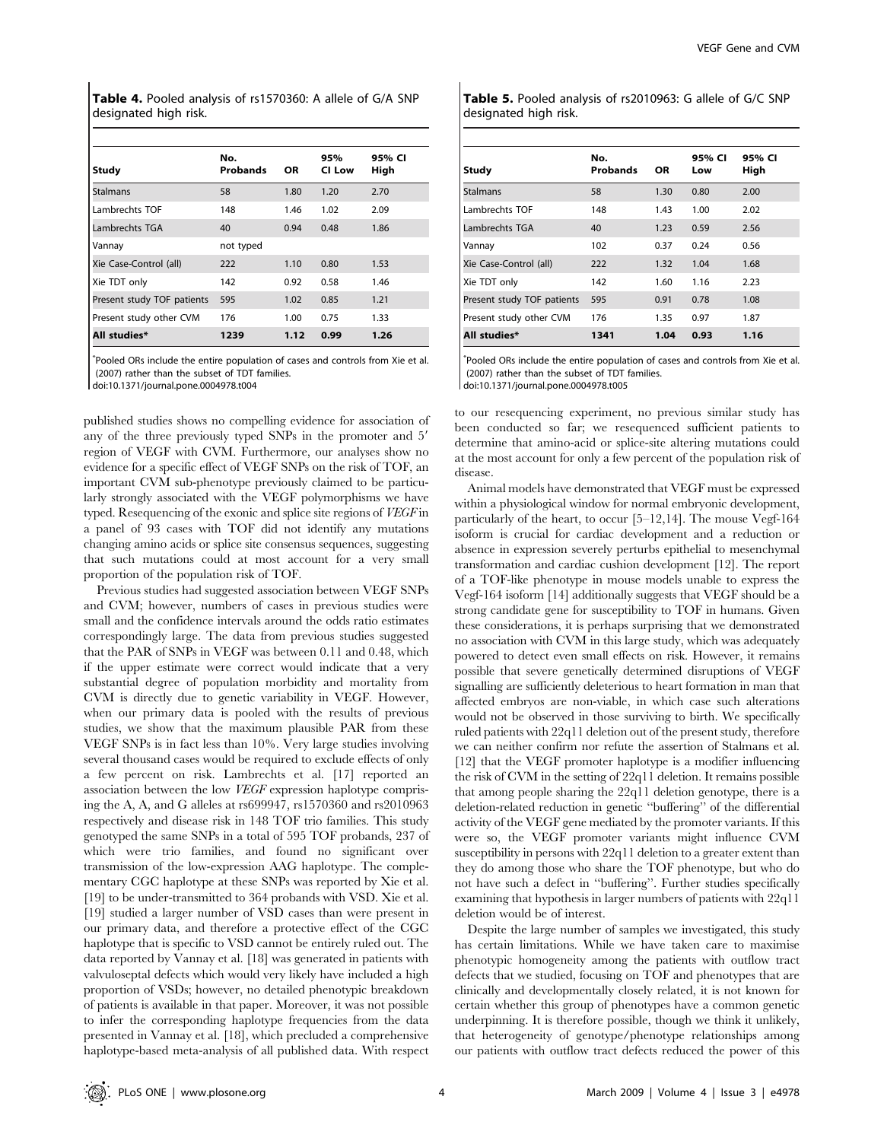Table 4. Pooled analysis of rs1570360: A allele of G/A SNP designated high risk.

| <b>Study</b>               | No.<br><b>Probands</b> | <b>OR</b> | 95%<br>CI Low | 95% CI<br>High |
|----------------------------|------------------------|-----------|---------------|----------------|
| <b>Stalmans</b>            | 58                     | 1.80      | 1.20          | 2.70           |
| Lambrechts TOF             | 148                    | 1.46      | 1.02          | 2.09           |
| Lambrechts TGA             | 40                     | 0.94      | 0.48          | 1.86           |
| Vannay                     | not typed              |           |               |                |
| Xie Case-Control (all)     | 222                    | 1.10      | 0.80          | 1.53           |
| Xie TDT only               | 142                    | 0.92      | 0.58          | 1.46           |
| Present study TOF patients | 595                    | 1.02      | 0.85          | 1.21           |
| Present study other CVM    | 176                    | 1.00      | 0.75          | 1.33           |
| All studies*               | 1239                   | 1.12      | 0.99          | 1.26           |

\* Pooled ORs include the entire population of cases and controls from Xie et al. (2007) rather than the subset of TDT families.

doi:10.1371/journal.pone.0004978.t004

published studies shows no compelling evidence for association of any of the three previously typed SNPs in the promoter and 5' region of VEGF with CVM. Furthermore, our analyses show no evidence for a specific effect of VEGF SNPs on the risk of TOF, an important CVM sub-phenotype previously claimed to be particularly strongly associated with the VEGF polymorphisms we have typed. Resequencing of the exonic and splice site regions of VEGF in a panel of 93 cases with TOF did not identify any mutations changing amino acids or splice site consensus sequences, suggesting that such mutations could at most account for a very small proportion of the population risk of TOF.

Previous studies had suggested association between VEGF SNPs and CVM; however, numbers of cases in previous studies were small and the confidence intervals around the odds ratio estimates correspondingly large. The data from previous studies suggested that the PAR of SNPs in VEGF was between 0.11 and 0.48, which if the upper estimate were correct would indicate that a very substantial degree of population morbidity and mortality from CVM is directly due to genetic variability in VEGF. However, when our primary data is pooled with the results of previous studies, we show that the maximum plausible PAR from these VEGF SNPs is in fact less than 10%. Very large studies involving several thousand cases would be required to exclude effects of only a few percent on risk. Lambrechts et al. [17] reported an association between the low VEGF expression haplotype comprising the A, A, and G alleles at rs699947, rs1570360 and rs2010963 respectively and disease risk in 148 TOF trio families. This study genotyped the same SNPs in a total of 595 TOF probands, 237 of which were trio families, and found no significant over transmission of the low-expression AAG haplotype. The complementary CGC haplotype at these SNPs was reported by Xie et al. [19] to be under-transmitted to 364 probands with VSD. Xie et al. [19] studied a larger number of VSD cases than were present in our primary data, and therefore a protective effect of the CGC haplotype that is specific to VSD cannot be entirely ruled out. The data reported by Vannay et al. [18] was generated in patients with valvuloseptal defects which would very likely have included a high proportion of VSDs; however, no detailed phenotypic breakdown of patients is available in that paper. Moreover, it was not possible to infer the corresponding haplotype frequencies from the data presented in Vannay et al. [18], which precluded a comprehensive haplotype-based meta-analysis of all published data. With respect

Table 5. Pooled analysis of rs2010963: G allele of G/C SNP designated high risk.

| <b>Study</b>               | No.<br><b>Probands</b> | <b>OR</b> | 95% CI<br>Low | 95% CI<br>High |
|----------------------------|------------------------|-----------|---------------|----------------|
| <b>Stalmans</b>            | 58                     | 1.30      | 0.80          | 2.00           |
| Lambrechts TOF             | 148                    | 1.43      | 1.00          | 2.02           |
| Lambrechts TGA             | 40                     | 1.23      | 0.59          | 2.56           |
| Vannay                     | 102                    | 0.37      | 0.24          | 0.56           |
| Xie Case-Control (all)     | 222                    | 1.32      | 1.04          | 1.68           |
| Xie TDT only               | 142                    | 1.60      | 1.16          | 2.23           |
| Present study TOF patients | 595                    | 0.91      | 0.78          | 1.08           |
| Present study other CVM    | 176                    | 1.35      | 0.97          | 1.87           |
| All studies*               | 1341                   | 1.04      | 0.93          | 1.16           |

\* Pooled ORs include the entire population of cases and controls from Xie et al. (2007) rather than the subset of TDT families.

doi:10.1371/journal.pone.0004978.t005

to our resequencing experiment, no previous similar study has been conducted so far; we resequenced sufficient patients to determine that amino-acid or splice-site altering mutations could at the most account for only a few percent of the population risk of disease.

Animal models have demonstrated that VEGF must be expressed within a physiological window for normal embryonic development, particularly of the heart, to occur [5–12,14]. The mouse Vegf-164 isoform is crucial for cardiac development and a reduction or absence in expression severely perturbs epithelial to mesenchymal transformation and cardiac cushion development [12]. The report of a TOF-like phenotype in mouse models unable to express the Vegf-164 isoform [14] additionally suggests that VEGF should be a strong candidate gene for susceptibility to TOF in humans. Given these considerations, it is perhaps surprising that we demonstrated no association with CVM in this large study, which was adequately powered to detect even small effects on risk. However, it remains possible that severe genetically determined disruptions of VEGF signalling are sufficiently deleterious to heart formation in man that affected embryos are non-viable, in which case such alterations would not be observed in those surviving to birth. We specifically ruled patients with 22q11 deletion out of the present study, therefore we can neither confirm nor refute the assertion of Stalmans et al. [12] that the VEGF promoter haplotype is a modifier influencing the risk of CVM in the setting of 22q11 deletion. It remains possible that among people sharing the 22q11 deletion genotype, there is a deletion-related reduction in genetic ''buffering'' of the differential activity of the VEGF gene mediated by the promoter variants. If this were so, the VEGF promoter variants might influence CVM susceptibility in persons with 22q11 deletion to a greater extent than they do among those who share the TOF phenotype, but who do not have such a defect in ''buffering''. Further studies specifically examining that hypothesis in larger numbers of patients with 22q11 deletion would be of interest.

Despite the large number of samples we investigated, this study has certain limitations. While we have taken care to maximise phenotypic homogeneity among the patients with outflow tract defects that we studied, focusing on TOF and phenotypes that are clinically and developmentally closely related, it is not known for certain whether this group of phenotypes have a common genetic underpinning. It is therefore possible, though we think it unlikely, that heterogeneity of genotype/phenotype relationships among our patients with outflow tract defects reduced the power of this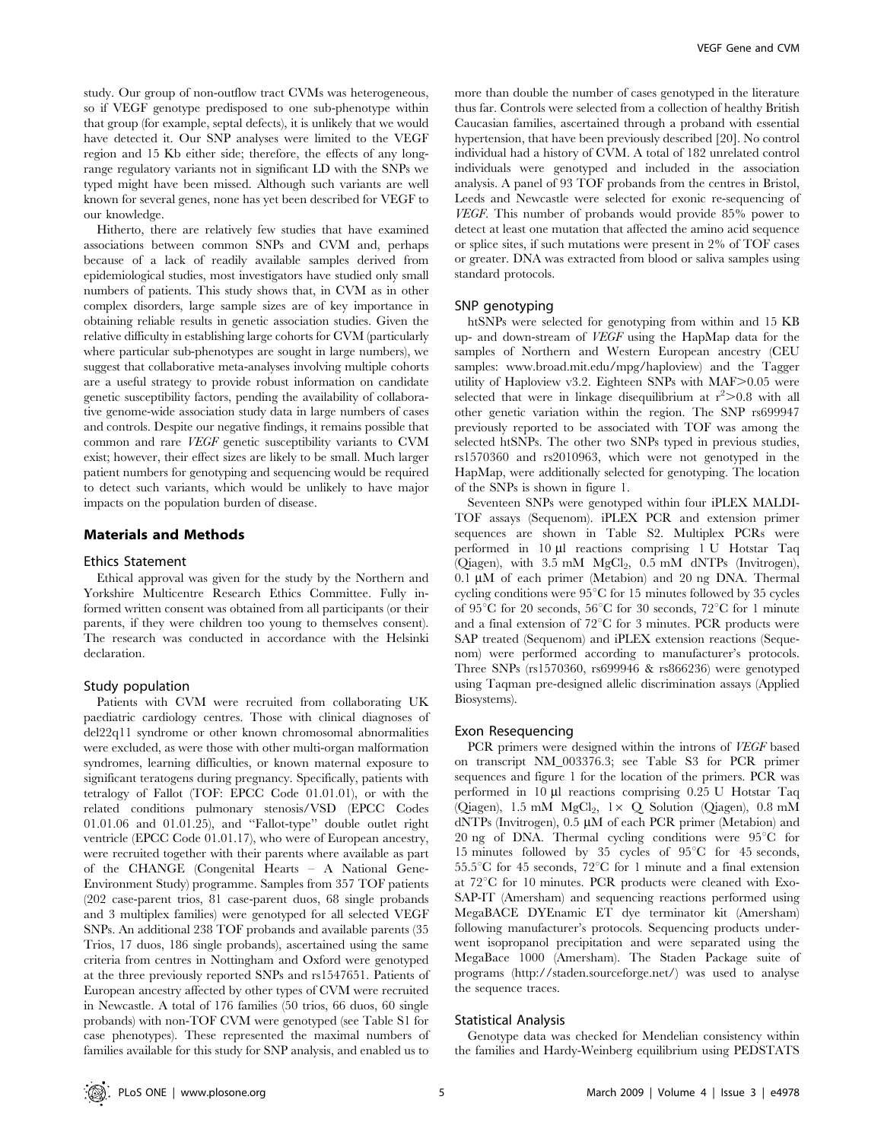study. Our group of non-outflow tract CVMs was heterogeneous, so if VEGF genotype predisposed to one sub-phenotype within that group (for example, septal defects), it is unlikely that we would have detected it. Our SNP analyses were limited to the VEGF region and 15 Kb either side; therefore, the effects of any longrange regulatory variants not in significant LD with the SNPs we typed might have been missed. Although such variants are well known for several genes, none has yet been described for VEGF to our knowledge.

Hitherto, there are relatively few studies that have examined associations between common SNPs and CVM and, perhaps because of a lack of readily available samples derived from epidemiological studies, most investigators have studied only small numbers of patients. This study shows that, in CVM as in other complex disorders, large sample sizes are of key importance in obtaining reliable results in genetic association studies. Given the relative difficulty in establishing large cohorts for CVM (particularly where particular sub-phenotypes are sought in large numbers), we suggest that collaborative meta-analyses involving multiple cohorts are a useful strategy to provide robust information on candidate genetic susceptibility factors, pending the availability of collaborative genome-wide association study data in large numbers of cases and controls. Despite our negative findings, it remains possible that common and rare VEGF genetic susceptibility variants to CVM exist; however, their effect sizes are likely to be small. Much larger patient numbers for genotyping and sequencing would be required to detect such variants, which would be unlikely to have major impacts on the population burden of disease.

## Materials and Methods

#### Ethics Statement

Ethical approval was given for the study by the Northern and Yorkshire Multicentre Research Ethics Committee. Fully informed written consent was obtained from all participants (or their parents, if they were children too young to themselves consent). The research was conducted in accordance with the Helsinki declaration.

#### Study population

Patients with CVM were recruited from collaborating UK paediatric cardiology centres. Those with clinical diagnoses of del22q11 syndrome or other known chromosomal abnormalities were excluded, as were those with other multi-organ malformation syndromes, learning difficulties, or known maternal exposure to significant teratogens during pregnancy. Specifically, patients with tetralogy of Fallot (TOF: EPCC Code 01.01.01), or with the related conditions pulmonary stenosis/VSD (EPCC Codes 01.01.06 and 01.01.25), and ''Fallot-type'' double outlet right ventricle (EPCC Code 01.01.17), who were of European ancestry, were recruited together with their parents where available as part of the CHANGE (Congenital Hearts – A National Gene-Environment Study) programme. Samples from 357 TOF patients (202 case-parent trios, 81 case-parent duos, 68 single probands and 3 multiplex families) were genotyped for all selected VEGF SNPs. An additional 238 TOF probands and available parents (35 Trios, 17 duos, 186 single probands), ascertained using the same criteria from centres in Nottingham and Oxford were genotyped at the three previously reported SNPs and rs1547651. Patients of European ancestry affected by other types of CVM were recruited in Newcastle. A total of 176 families (50 trios, 66 duos, 60 single probands) with non-TOF CVM were genotyped (see Table S1 for case phenotypes). These represented the maximal numbers of families available for this study for SNP analysis, and enabled us to more than double the number of cases genotyped in the literature thus far. Controls were selected from a collection of healthy British Caucasian families, ascertained through a proband with essential hypertension, that have been previously described [20]. No control individual had a history of CVM. A total of 182 unrelated control individuals were genotyped and included in the association analysis. A panel of 93 TOF probands from the centres in Bristol, Leeds and Newcastle were selected for exonic re-sequencing of VEGF. This number of probands would provide 85% power to detect at least one mutation that affected the amino acid sequence or splice sites, if such mutations were present in 2% of TOF cases or greater. DNA was extracted from blood or saliva samples using standard protocols.

#### SNP genotyping

htSNPs were selected for genotyping from within and 15 KB up- and down-stream of VEGF using the HapMap data for the samples of Northern and Western European ancestry (CEU samples: www.broad.mit.edu/mpg/haploview) and the Tagger utility of Haploview v3.2. Eighteen SNPs with  $MAF > 0.05$  were selected that were in linkage disequilibrium at  $r^2 > 0.8$  with all other genetic variation within the region. The SNP rs699947 previously reported to be associated with TOF was among the selected htSNPs. The other two SNPs typed in previous studies, rs1570360 and rs2010963, which were not genotyped in the HapMap, were additionally selected for genotyping. The location of the SNPs is shown in figure 1.

Seventeen SNPs were genotyped within four iPLEX MALDI-TOF assays (Sequenom). iPLEX PCR and extension primer sequences are shown in Table S2. Multiplex PCRs were performed in 10 µl reactions comprising 1 U Hotstar Taq (Qiagen), with 3.5 mM MgCl<sub>2</sub>, 0.5 mM dNTPs (Invitrogen), 0.1  $\mu$ M of each primer (Metabion) and 20 ng DNA. Thermal cycling conditions were  $95^{\circ}$ C for 15 minutes followed by 35 cycles of 95 $\mathrm{^{\circ}C}$  for 20 seconds, 56 $\mathrm{^{\circ}C}$  for 30 seconds, 72 $\mathrm{^{\circ}C}$  for 1 minute and a final extension of  $72^{\circ}$ C for 3 minutes. PCR products were SAP treated (Sequenom) and iPLEX extension reactions (Sequenom) were performed according to manufacturer's protocols. Three SNPs (rs1570360, rs699946 & rs866236) were genotyped using Taqman pre-designed allelic discrimination assays (Applied Biosystems).

#### Exon Resequencing

PCR primers were designed within the introns of VEGF based on transcript NM\_003376.3; see Table S3 for PCR primer sequences and figure 1 for the location of the primers. PCR was performed in  $10 \mu l$  reactions comprising 0.25 U Hotstar Taq (Qiagen), 1.5 mM  $MgCl<sub>2</sub>$ , 1 $\times$  Q Solution (Qiagen), 0.8 mM dNTPs (Invitrogen),  $0.5 \mu M$  of each PCR primer (Metabion) and 20 ng of DNA. Thermal cycling conditions were  $95^{\circ}$ C for 15 minutes followed by 35 cycles of  $95^{\circ}$ C for 45 seconds,  $55.5^{\circ}$ C for 45 seconds,  $72^{\circ}$ C for 1 minute and a final extension at  $72^{\circ}$ C for 10 minutes. PCR products were cleaned with Exo-SAP-IT (Amersham) and sequencing reactions performed using MegaBACE DYEnamic ET dye terminator kit (Amersham) following manufacturer's protocols. Sequencing products underwent isopropanol precipitation and were separated using the MegaBace 1000 (Amersham). The Staden Package suite of programs (http://staden.sourceforge.net/) was used to analyse the sequence traces.

## Statistical Analysis

Genotype data was checked for Mendelian consistency within the families and Hardy-Weinberg equilibrium using PEDSTATS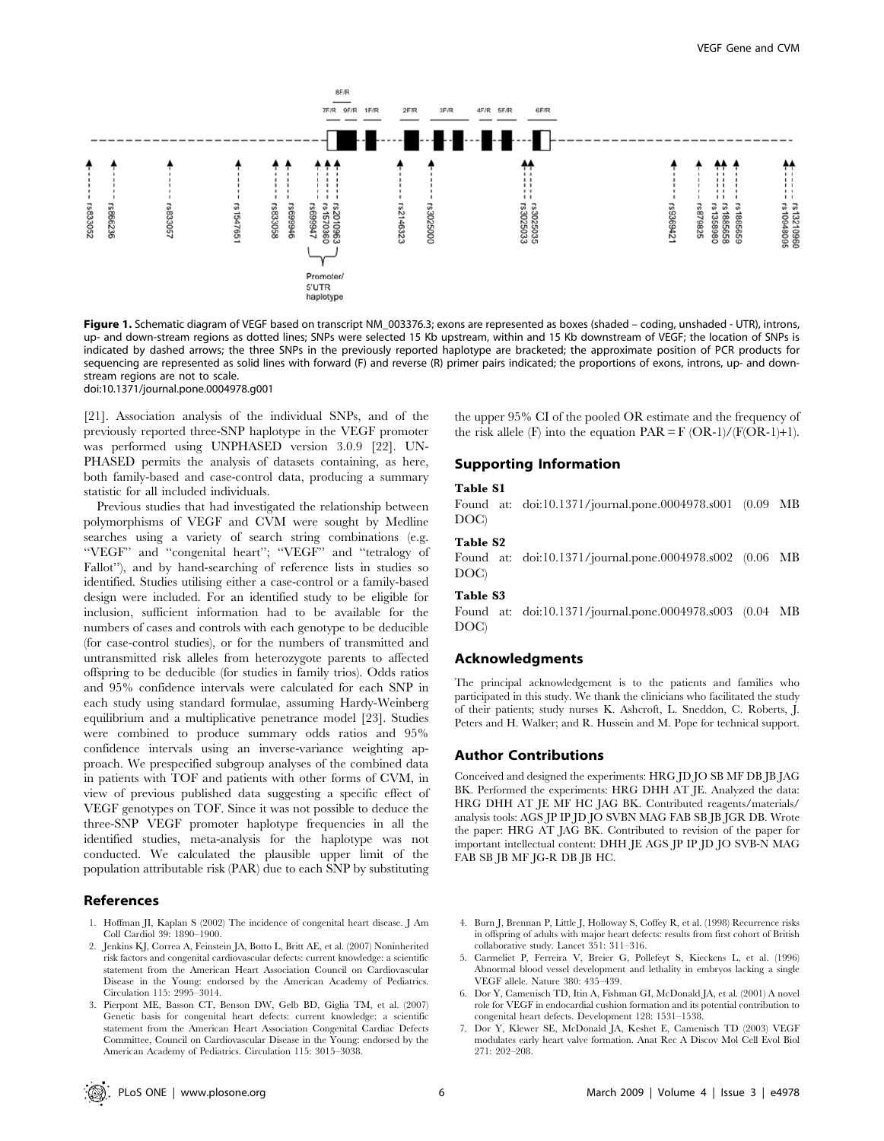

Figure 1. Schematic diagram of VEGF based on transcript NM\_003376.3; exons are represented as boxes (shaded - coding, unshaded - UTR), introns, up- and down-stream regions as dotted lines; SNPs were selected 15 Kb upstream, within and 15 Kb downstream of VEGF; the location of SNPs is indicated by dashed arrows; the three SNPs in the previously reported haplotype are bracketed; the approximate position of PCR products for sequencing are represented as solid lines with forward (F) and reverse (R) primer pairs indicated; the proportions of exons, introns, up- and downstream regions are not to scale. doi:10.1371/journal.pone.0004978.g001

[21]. Association analysis of the individual SNPs, and of the previously reported three-SNP haplotype in the VEGF promoter was performed using UNPHASED version 3.0.9 [22]. UN-PHASED permits the analysis of datasets containing, as here, both family-based and case-control data, producing a summary statistic for all included individuals.

Previous studies that had investigated the relationship between polymorphisms of VEGF and CVM were sought by Medline searches using a variety of search string combinations (e.g. ''VEGF'' and ''congenital heart''; ''VEGF'' and ''tetralogy of Fallot''), and by hand-searching of reference lists in studies so identified. Studies utilising either a case-control or a family-based design were included. For an identified study to be eligible for inclusion, sufficient information had to be available for the numbers of cases and controls with each genotype to be deducible (for case-control studies), or for the numbers of transmitted and untransmitted risk alleles from heterozygote parents to affected offspring to be deducible (for studies in family trios). Odds ratios and 95% confidence intervals were calculated for each SNP in each study using standard formulae, assuming Hardy-Weinberg equilibrium and a multiplicative penetrance model [23]. Studies were combined to produce summary odds ratios and 95% confidence intervals using an inverse-variance weighting approach. We prespecified subgroup analyses of the combined data in patients with TOF and patients with other forms of CVM, in view of previous published data suggesting a specific effect of VEGF genotypes on TOF. Since it was not possible to deduce the three-SNP VEGF promoter haplotype frequencies in all the identified studies, meta-analysis for the haplotype was not conducted. We calculated the plausible upper limit of the population attributable risk (PAR) due to each SNP by substituting

### References

- 1. Hoffman JI, Kaplan S (2002) The incidence of congenital heart disease. J Am Coll Cardiol 39: 1890–1900.
- 2. Jenkins KJ, Correa A, Feinstein JA, Botto L, Britt AE, et al. (2007) Noninherited risk factors and congenital cardiovascular defects: current knowledge: a scientific statement from the American Heart Association Council on Cardiovascular Disease in the Young: endorsed by the American Academy of Pediatrics. Circulation 115: 2995–3014.
- 3. Pierpont ME, Basson CT, Benson DW, Gelb BD, Giglia TM, et al. (2007) Genetic basis for congenital heart defects: current knowledge: a scientific statement from the American Heart Association Congenital Cardiac Defects Committee, Council on Cardiovascular Disease in the Young: endorsed by the American Academy of Pediatrics. Circulation 115: 3015–3038.

the upper 95% CI of the pooled OR estimate and the frequency of the risk allele  $(F)$  into the equation  $PAR = F (OR-1)/(F(OR-1)+1)$ .

# Supporting Information

#### Table S1

Found at: doi:10.1371/journal.pone.0004978.s001 (0.09 MB DOC)

## Table S2

Found at: doi:10.1371/journal.pone.0004978.s002 (0.06 MB DOC)

#### Table S3

Found at: doi:10.1371/journal.pone.0004978.s003 (0.04 MB DOC)

#### Acknowledgments

The principal acknowledgement is to the patients and families who participated in this study. We thank the clinicians who facilitated the study of their patients; study nurses K. Ashcroft, L. Sneddon, C. Roberts, J. Peters and H. Walker; and R. Hussein and M. Pope for technical support.

#### Author Contributions

Conceived and designed the experiments: HRG JD JO SB MF DB JB JAG BK. Performed the experiments: HRG DHH AT JE. Analyzed the data: HRG DHH AT JE MF HC JAG BK. Contributed reagents/materials/ analysis tools: AGS JP IP JD JO SVBN MAG FAB SB JB JGR DB. Wrote the paper: HRG AT JAG BK. Contributed to revision of the paper for important intellectual content: DHH JE AGS JP IP JD JO SVB-N MAG FAB SB JB MF JG-R DB JB HC.

- 4. Burn J, Brennan P, Little J, Holloway S, Coffey R, et al. (1998) Recurrence risks in offspring of adults with major heart defects: results from first cohort of British collaborative study. Lancet 351: 311–316.
- 5. Carmeliet P, Ferreira V, Breier G, Pollefeyt S, Kieckens L, et al. (1996) Abnormal blood vessel development and lethality in embryos lacking a single VEGF allele. Nature 380: 435–439.
- 6. Dor Y, Camenisch TD, Itin A, Fishman GI, McDonald JA, et al. (2001) A novel role for VEGF in endocardial cushion formation and its potential contribution to congenital heart defects. Development 128: 1531–1538.
- 7. Dor Y, Klewer SE, McDonald JA, Keshet E, Camenisch TD (2003) VEGF modulates early heart valve formation. Anat Rec A Discov Mol Cell Evol Biol 271: 202–208.